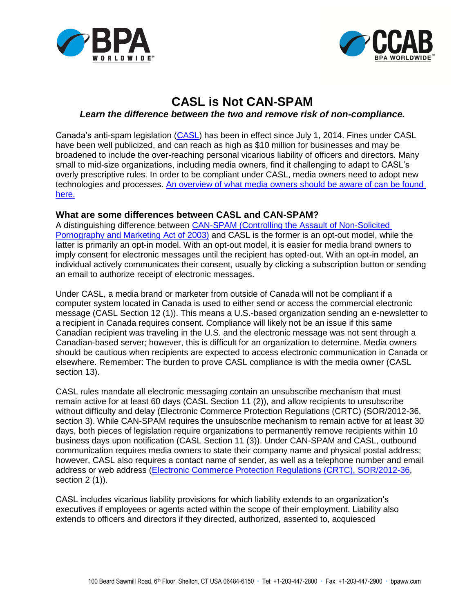



## **CASL is Not CAN-SPAM**

## *Learn the difference between the two and remove risk of non-compliance.*

Canada's anti-spam legislation [\(CASL\)](http://laws-lois.justice.gc.ca/eng/acts/E-1.6/FullText.html) has been in effect since July 1, 2014. Fines under CASL have been well publicized, and can reach as high as \$10 million for businesses and may be broadened to include the over-reaching personal vicarious liability of officers and directors. Many small to mid-size organizations, including media owners, find it challenging to adapt to CASL's overly prescriptive rules. In order to be compliant under CASL, media owners need to adopt new technologies and processes. [An overview of what media owners should](http://www.bpaww.com/Bpaww_com/HTML/CCAB/CASL/CCABs%20rules%20help%20media%20owners%20better%20comply%20with%20CASL%20(2).pdf) be aware of can be found [here.](http://www.bpaww.com/Bpaww_com/HTML/CCAB/CASL/CCABs%20rules%20help%20media%20owners%20better%20comply%20with%20CASL%20(2).pdf)

## **What are some differences between CASL and CAN-SPAM?**

A distinguishing difference between [CAN-SPAM \(Controlling the Assault of Non-Solicited](http://www.gpo.gov/fdsys/pkg/PLAW-108publ187/pdf/PLAW-108publ187.pdf)  [Pornography and Marketing Act of](http://www.gpo.gov/fdsys/pkg/PLAW-108publ187/pdf/PLAW-108publ187.pdf) 2003) and CASL is the former is an opt-out model, while the latter is primarily an opt-in model. With an opt-out model, it is easier for media brand owners to imply consent for electronic messages until the recipient has opted-out. With an opt-in model, an individual actively communicates their consent, usually by clicking a subscription button or sending an email to authorize receipt of electronic messages.

Under CASL, a media brand or marketer from outside of Canada will not be compliant if a computer system located in Canada is used to either send or access the commercial electronic message (CASL Section 12 (1)). This means a U.S.-based organization sending an e-newsletter to a recipient in Canada requires consent. Compliance will likely not be an issue if this same Canadian recipient was traveling in the U.S. and the electronic message was not sent through a Canadian-based server; however, this is difficult for an organization to determine. Media owners should be cautious when recipients are expected to access electronic communication in Canada or elsewhere. Remember: The burden to prove CASL compliance is with the media owner (CASL section 13).

CASL rules mandate all electronic messaging contain an unsubscribe mechanism that must remain active for at least 60 days (CASL Section 11 (2)), and allow recipients to unsubscribe without difficulty and delay (Electronic Commerce Protection Regulations (CRTC) (SOR/2012-36, section 3). While CAN-SPAM requires the unsubscribe mechanism to remain active for at least 30 days, both pieces of legislation require organizations to permanently remove recipients within 10 business days upon notification (CASL Section 11 (3)). Under CAN-SPAM and CASL, outbound communication requires media owners to state their company name and physical postal address; however, CASL also requires a contact name of sender, as well as a telephone number and email address or web address [\(Electronic Commerce Protection Regulations \(CRTC\), SOR/2012-36,](http://fightspam.gc.ca/eic/site/030.nsf/eng/00273.html) section 2 (1)).

CASL includes vicarious liability provisions for which liability extends to an organization's executives if employees or agents acted within the scope of their employment. Liability also extends to officers and directors if they directed, authorized, assented to, acquiesced